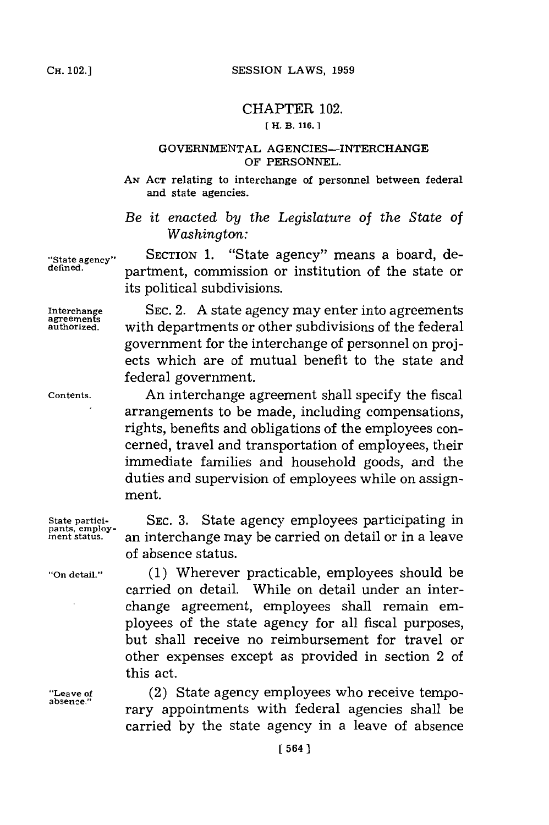## CHAPTER 102.

## **[ H. B. 116.]**

## **GOVERNMENTAL** AGENCIES-INTERCHANGE OF **PERSONNEL.**

**AN ACT** relating to interchange of personnel between federal and state agencies.

*Be it enacted by the Legislature of the State of Washington:*

**State agency"** SECTION **1.** "State agency" means a board, de**defined.** partment, commission or institution of the state or its political subdivisions.

**Interchange SEC.** 2. **A** state agency may enter into agreements **agreements** with departments or other subdivisions of the federal government for the interchange of personnel on proj ects which are of mutual benefit to the state and federal government.

**Contents.** An interchange agreement shall specify the fiscal arrangements to be made, including compensations, rights, benefits and obligations of the employees concerned, travel and transportation of employees, their immediate families and household goods, and the duties and supervision of employees while on assignment.

> SEC. 3. State agency employees participating in **ment status,** an interchange may be carried on detail or in a leave of absence status.

**"On detail." (1)** Wherever practicable, employees should be carried on detail. While on detail under an interchange agreement, employees shall remain employees of the state agency for all fiscal purposes, but shall receive no reimbursement for travel or other expenses except as provided in section 2 of this act.

**"Leave of** (2) State agency employees who receive temporary appointments with federal agencies shall be carried **by** the state agency in a leave of absence

State partici-<br>pants, employ-<br>ment status.